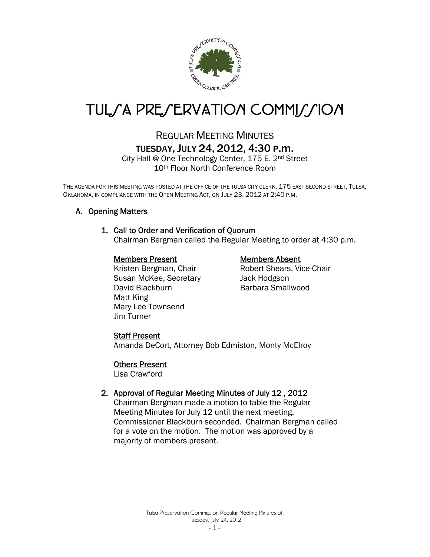

# TUL*SA PRESERVATION COMMISSION*

# REGULAR MEETING MINUTES TUESDAY, JULY 24, 2012, 4:30 P.m.

City Hall @ One Technology Center, 175 E. 2nd Street 10th Floor North Conference Room

THE AGENDA FOR THIS MEETING WAS POSTED AT THE OFFICE OF THE TULSA CITY CLERK, 175 EAST SECOND STREET, TULSA, OKLAHOMA, IN COMPLIANCE WITH THE OPEN MEETING ACT, ON JULY 23, 2012 AT 2:40 P.M.

# A. Opening Matters

# 1. Call to Order and Verification of Quorum

Chairman Bergman called the Regular Meeting to order at 4:30 p.m.

#### Members Present Members Absent

Kristen Bergman, Chair **Robert Shears, Vice-Chair** Susan McKee, Secretary **Jack Hodgson** David Blackburn Barbara Smallwood Matt King Mary Lee Townsend Jim Turner

# Staff Present

Amanda DeCort, Attorney Bob Edmiston, Monty McElroy

#### Others Present

Lisa Crawford

# 2. Approval of Regular Meeting Minutes of July 12 , 2012

Chairman Bergman made a motion to table the Regular Meeting Minutes for July 12 until the next meeting. Commissioner Blackburn seconded. Chairman Bergman called for a vote on the motion. The motion was approved by a majority of members present.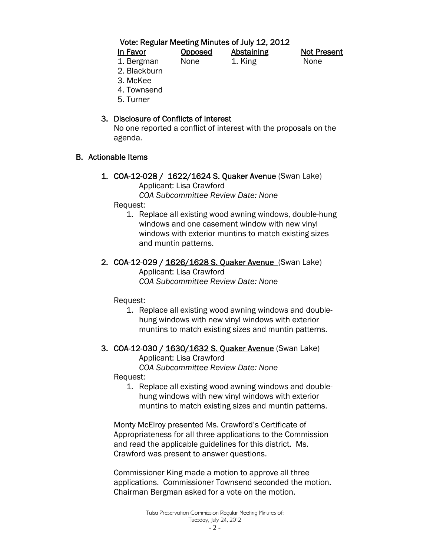Vote: Regular Meeting Minutes of July 12, 2012

| In Favor   | <b>Opposed</b> | <b>Abstaining</b> | <b>Not Present</b> |
|------------|----------------|-------------------|--------------------|
| 1. Bergman | None           | 1. King           | None               |

2. Blackburn

- 3. McKee
- 4. Townsend
- 5. Turner

# 3. Disclosure of Conflicts of Interest

 No one reported a conflict of interest with the proposals on the agenda.

# B. Actionable Items

1. COA-12-028 / 1622/1624 S. Quaker Avenue (Swan Lake) Applicant: Lisa Crawford

 *COA Subcommittee Review Date: None* 

Request:

1. Replace all existing wood awning windows, double-hung windows and one casement window with new vinyl windows with exterior muntins to match existing sizes and muntin patterns.

# 2. COA-12-029 / 1626/1628 S. Quaker Avenue (Swan Lake)

 Applicant: Lisa Crawford  *COA Subcommittee Review Date: None* 

Request:

1. Replace all existing wood awning windows and doublehung windows with new vinyl windows with exterior muntins to match existing sizes and muntin patterns.

# 3. COA-12-030 / 1630/1632 S. Quaker Avenue (Swan Lake)

 Applicant: Lisa Crawford  *COA Subcommittee Review Date: None* 

Request:

1. Replace all existing wood awning windows and doublehung windows with new vinyl windows with exterior muntins to match existing sizes and muntin patterns.

Monty McElroy presented Ms. Crawford's Certificate of Appropriateness for all three applications to the Commission and read the applicable guidelines for this district. Ms. Crawford was present to answer questions.

Commissioner King made a motion to approve all three applications. Commissioner Townsend seconded the motion. Chairman Bergman asked for a vote on the motion.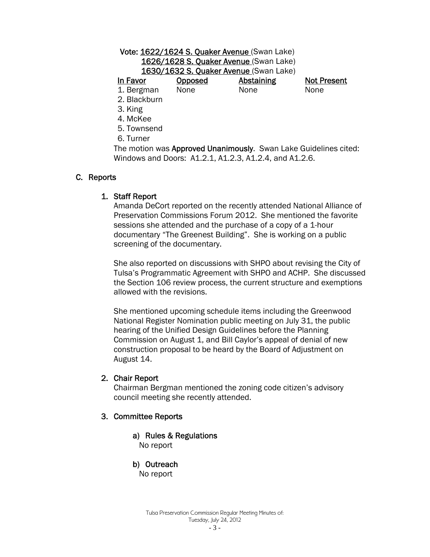# Vote: 1622/1624 S. Quaker Avenue (Swan Lake) 1626/1628 S. Quaker Avenue (Swan Lake) 1630/1632 S. Quaker Avenue (Swan Lake) In Favor Copposed Abstaining Not Present

1. Bergman None None None

- 2. Blackburn
- 3. King
- 4. McKee
- 5. Townsend
- 6. Turner

The motion was Approved Unanimously. Swan Lake Guidelines cited: Windows and Doors: A1.2.1, A1.2.3, A1.2.4, and A1.2.6.

# C. Reports

# 1. Staff Report

 Amanda DeCort reported on the recently attended National Alliance of Preservation Commissions Forum 2012. She mentioned the favorite sessions she attended and the purchase of a copy of a 1-hour documentary "The Greenest Building". She is working on a public screening of the documentary.

 She also reported on discussions with SHPO about revising the City of Tulsa's Programmatic Agreement with SHPO and ACHP. She discussed the Section 106 review process, the current structure and exemptions allowed with the revisions.

 She mentioned upcoming schedule items including the Greenwood National Register Nomination public meeting on July 31, the public hearing of the Unified Design Guidelines before the Planning Commission on August 1, and Bill Caylor's appeal of denial of new construction proposal to be heard by the Board of Adjustment on August 14.

# 2. Chair Report

 Chairman Bergman mentioned the zoning code citizen's advisory council meeting she recently attended.

# 3. Committee Reports

a) Rules & Regulations

No report

# b) Outreach

No report